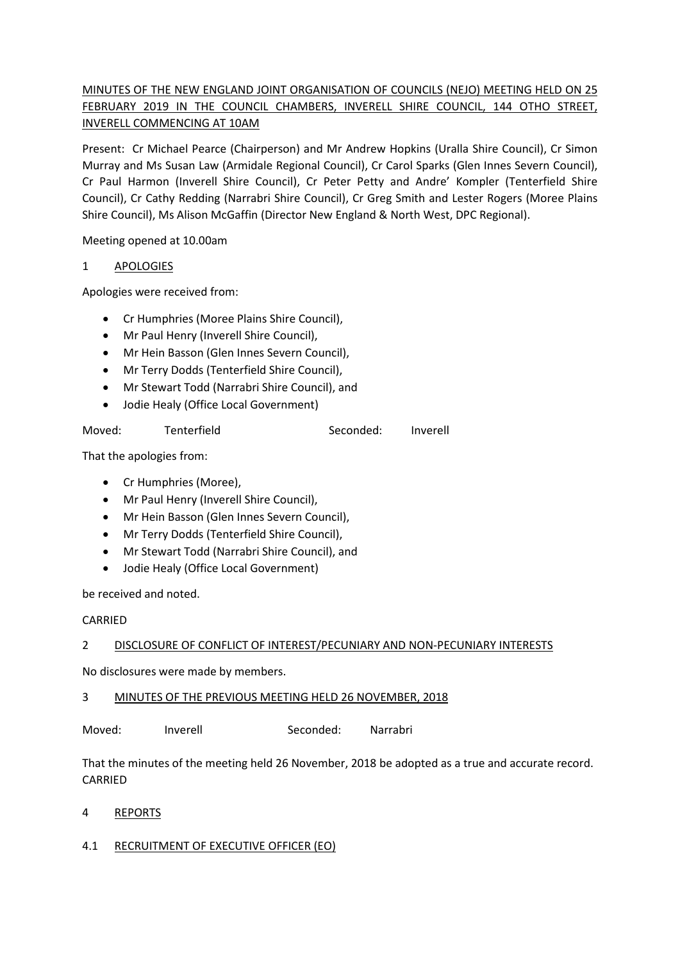# MINUTES OF THE NEW ENGLAND JOINT ORGANISATION OF COUNCILS (NEJO) MEETING HELD ON 25 FEBRUARY 2019 IN THE COUNCIL CHAMBERS, INVERELL SHIRE COUNCIL, 144 OTHO STREET, INVERELL COMMENCING AT 10AM

Present: Cr Michael Pearce (Chairperson) and Mr Andrew Hopkins (Uralla Shire Council), Cr Simon Murray and Ms Susan Law (Armidale Regional Council), Cr Carol Sparks (Glen Innes Severn Council), Cr Paul Harmon (Inverell Shire Council), Cr Peter Petty and Andre' Kompler (Tenterfield Shire Council), Cr Cathy Redding (Narrabri Shire Council), Cr Greg Smith and Lester Rogers (Moree Plains Shire Council), Ms Alison McGaffin (Director New England & North West, DPC Regional).

Meeting opened at 10.00am

## 1 APOLOGIES

Apologies were received from:

- Cr Humphries (Moree Plains Shire Council),
- Mr Paul Henry (Inverell Shire Council),
- Mr Hein Basson (Glen Innes Severn Council),
- Mr Terry Dodds (Tenterfield Shire Council),
- Mr Stewart Todd (Narrabri Shire Council), and
- Jodie Healy (Office Local Government)

| Moved: | Tenterfield | Seconded: | Inverell |
|--------|-------------|-----------|----------|
|        |             |           |          |

That the apologies from:

- Cr Humphries (Moree),
- Mr Paul Henry (Inverell Shire Council),
- Mr Hein Basson (Glen Innes Severn Council),
- Mr Terry Dodds (Tenterfield Shire Council),
- Mr Stewart Todd (Narrabri Shire Council), and
- Jodie Healy (Office Local Government)

be received and noted.

### CARRIED

## 2 DISCLOSURE OF CONFLICT OF INTEREST/PECUNIARY AND NON-PECUNIARY INTERESTS

No disclosures were made by members.

## 3 MINUTES OF THE PREVIOUS MEETING HELD 26 NOVEMBER, 2018

Moved: Inverell Seconded: Narrabri

That the minutes of the meeting held 26 November, 2018 be adopted as a true and accurate record. CARRIED

### 4 REPORTS

## 4.1 RECRUITMENT OF EXECUTIVE OFFICER (EO)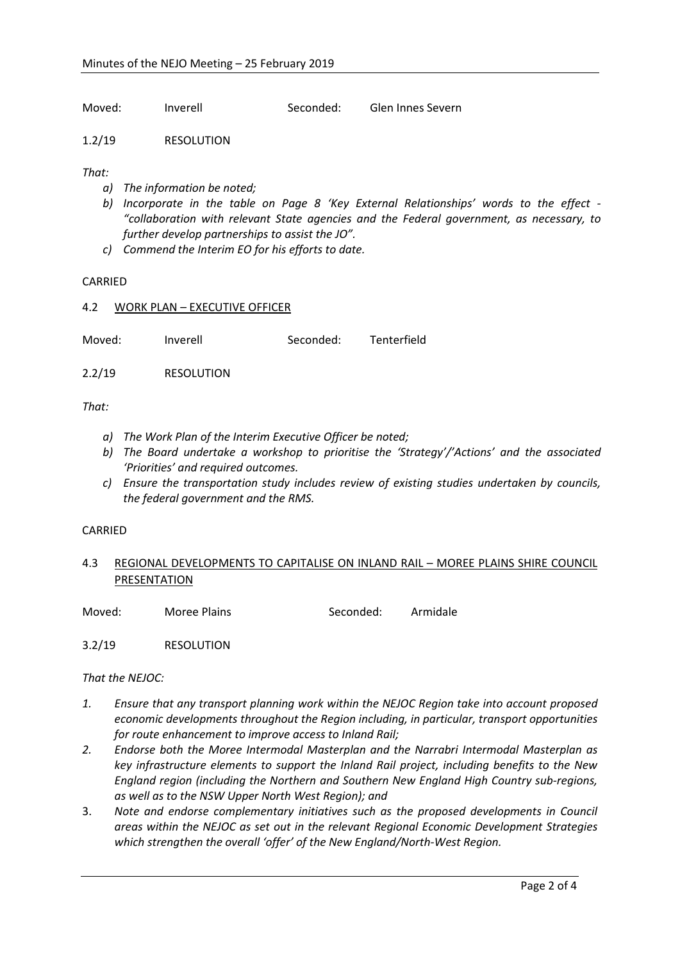Moved: Inverell Seconded: Glen Innes Severn

1.2/19 RESOLUTION

*That:*

- *a) The information be noted;*
- *b) Incorporate in the table on Page 8 'Key External Relationships' words to the effect - "collaboration with relevant State agencies and the Federal government, as necessary, to further develop partnerships to assist the JO".*
- *c) Commend the Interim EO for his efforts to date.*

#### CARRIED

### 4.2 WORK PLAN – EXECUTIVE OFFICER

Moved: Inverell Seconded: Tenterfield

2.2/19 RESOLUTION

#### *That:*

- *a) The Work Plan of the Interim Executive Officer be noted;*
- *b) The Board undertake a workshop to prioritise the 'Strategy'/'Actions' and the associated 'Priorities' and required outcomes.*
- *c) Ensure the transportation study includes review of existing studies undertaken by councils, the federal government and the RMS.*

### CARRIED

## 4.3 REGIONAL DEVELOPMENTS TO CAPITALISE ON INLAND RAIL – MOREE PLAINS SHIRE COUNCIL PRESENTATION

Moved: Moree Plains Seconded: Armidale

3.2/19 RESOLUTION

### *That the NEJOC:*

- *1. Ensure that any transport planning work within the NEJOC Region take into account proposed economic developments throughout the Region including, in particular, transport opportunities for route enhancement to improve access to Inland Rail;*
- *2. Endorse both the Moree Intermodal Masterplan and the Narrabri Intermodal Masterplan as key infrastructure elements to support the Inland Rail project, including benefits to the New England region (including the Northern and Southern New England High Country sub-regions, as well as to the NSW Upper North West Region); and*
- 3. *Note and endorse complementary initiatives such as the proposed developments in Council areas within the NEJOC as set out in the relevant Regional Economic Development Strategies which strengthen the overall 'offer' of the New England/North-West Region.*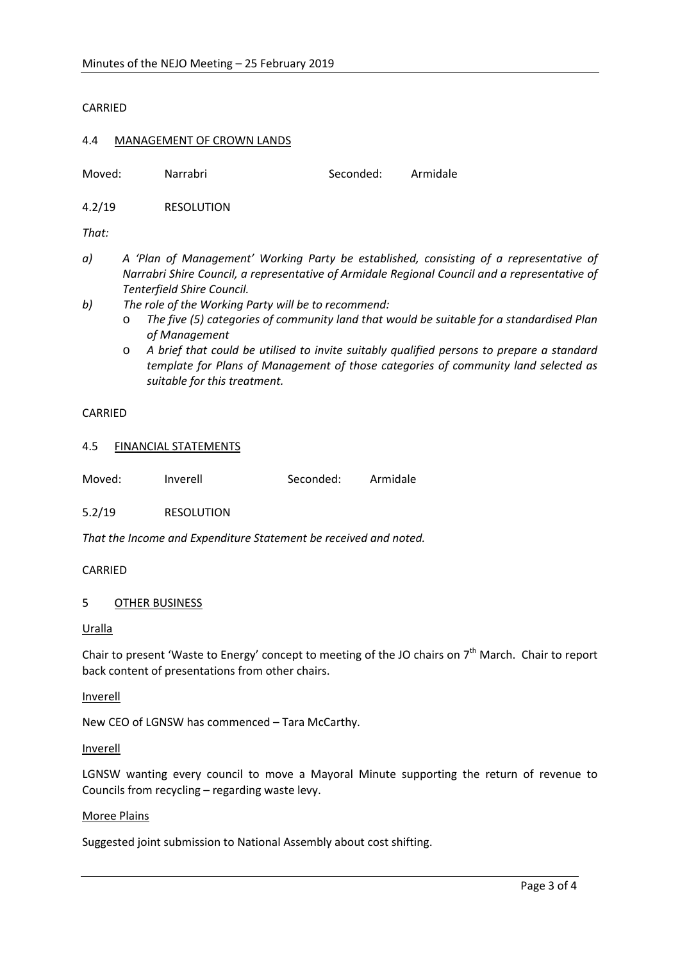CARRIED

#### 4.4 MANAGEMENT OF CROWN LANDS

Moved: Narrabri Seconded: Armidale

4.2/19 RESOLUTION

*That:*

- *a) A 'Plan of Management' Working Party be established, consisting of a representative of Narrabri Shire Council, a representative of Armidale Regional Council and a representative of Tenterfield Shire Council.*
- *b) The role of the Working Party will be to recommend:*
	- o *The five (5) categories of community land that would be suitable for a standardised Plan of Management*
	- o *A brief that could be utilised to invite suitably qualified persons to prepare a standard template for Plans of Management of those categories of community land selected as suitable for this treatment.*

### CARRIED

#### 4.5 FINANCIAL STATEMENTS

| Moved: | Inverell | Seconded: | Armidale |
|--------|----------|-----------|----------|
|        |          |           |          |

5.2/19 RESOLUTION

*That the Income and Expenditure Statement be received and noted.* 

### CARRIED

### 5 OTHER BUSINESS

#### Uralla

Chair to present 'Waste to Energy' concept to meeting of the JO chairs on  $7<sup>th</sup>$  March. Chair to report back content of presentations from other chairs.

#### Inverell

New CEO of LGNSW has commenced – Tara McCarthy.

#### Inverell

LGNSW wanting every council to move a Mayoral Minute supporting the return of revenue to Councils from recycling – regarding waste levy.

### Moree Plains

Suggested joint submission to National Assembly about cost shifting.